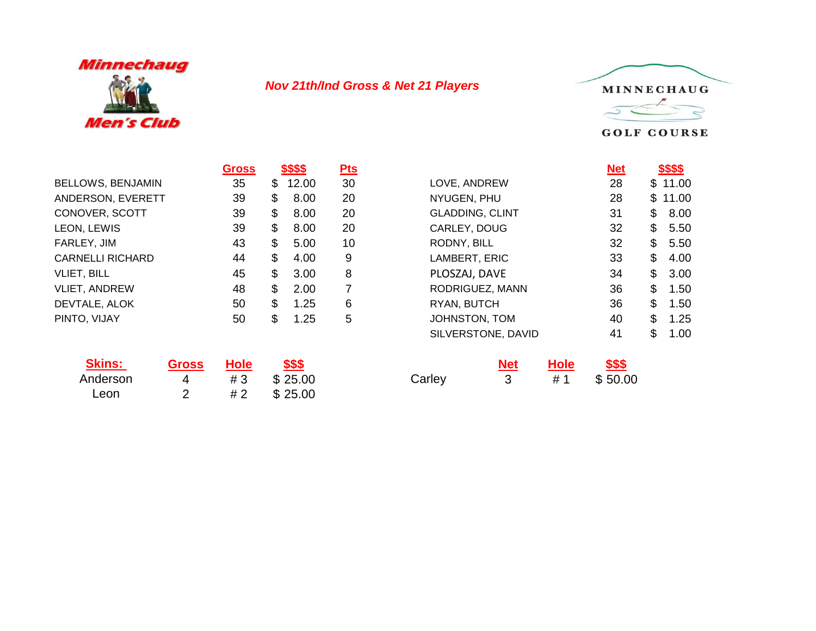

## *Nov 21th/Ind Gross & Net 21 Players*



**GOLF COURSE** 

|                          | <b>Gross</b> | <u>5555</u> | <u>Pts</u> |                        | <u>Net</u> |     | <u> 5555 </u> |
|--------------------------|--------------|-------------|------------|------------------------|------------|-----|---------------|
| <b>BELLOWS, BENJAMIN</b> | 35           | \$<br>12.00 | 30         | LOVE, ANDREW           | 28         |     | \$11.00       |
| ANDERSON, EVERETT        | 39           | \$<br>8.00  | 20         | NYUGEN, PHU            | 28         | SS. | 11.00         |
| CONOVER, SCOTT           | 39           | \$<br>8.00  | 20         | <b>GLADDING, CLINT</b> | 31         | \$  | 8.00          |
| LEON, LEWIS              | 39           | \$<br>8.00  | 20         | CARLEY, DOUG           | 32         | \$  | 5.50          |
| FARLEY, JIM              | 43           | \$<br>5.00  | 10         | RODNY, BILL            | 32         | \$  | 5.50          |
| <b>CARNELLI RICHARD</b>  | 44           | \$<br>4.00  | 9          | LAMBERT, ERIC          | 33         | \$  | 4.00          |
| <b>VLIET, BILL</b>       | 45           | \$<br>3.00  | 8          | PLOSZAJ, DAVE          | 34         | \$  | 3.00          |
| <b>VLIET, ANDREW</b>     | 48           | \$<br>2.00  |            | RODRIGUEZ, MANN        | 36         | \$  | 1.50          |
| DEVTALE, ALOK            | 50           | \$<br>1.25  | 6          | RYAN, BUTCH            | 36         | \$  | 1.50          |
| PINTO, VIJAY             | 50           | \$<br>1.25  | 5          | JOHNSTON, TOM          | 40         | \$  | 1.25          |
|                          |              |             |            | SILVERSTONE DAVID      | 41         | ፍ   | 1 N           |

| <b>Skins:</b> | <b>Gross</b> | <b>Hole</b> | \$\$\$  |        |
|---------------|--------------|-------------|---------|--------|
| Anderson      | 4            | #3          | \$25.00 | Carley |
| Leon          |              | # 2         | \$25.00 |        |

| <b>Gross</b> | <u>\$\$\$\$</u> | $Pts$ |                        | <u>Net</u> | <u>\$\$\$\$</u> |
|--------------|-----------------|-------|------------------------|------------|-----------------|
| 35           | \$<br>12.00     | 30    | LOVE, ANDREW           | 28         | \$11.00         |
| 39           | \$<br>8.00      | 20    | NYUGEN, PHU            | 28         | \$<br>11.00     |
| 39           | \$<br>8.00      | 20    | <b>GLADDING, CLINT</b> | 31         | \$<br>8.00      |
| 39           | \$<br>8.00      | 20    | CARLEY, DOUG           | 32         | \$<br>5.50      |
| 43           | \$<br>5.00      | 10    | RODNY, BILL            | 32         | \$<br>5.50      |
| 44           | \$<br>4.00      | 9     | LAMBERT, ERIC          | 33         | \$<br>4.00      |
| 45           | \$<br>3.00      | 8     | PLOSZAJ, DAVE          | 34         | \$<br>3.00      |
| 48           | \$<br>2.00      | 7     | RODRIGUEZ, MANN        | 36         | \$<br>1.50      |
| 50           | \$<br>1.25      | 6     | RYAN, BUTCH            | 36         | \$<br>1.50      |
| 50           | \$<br>1.25      | 5     | JOHNSTON, TOM          | 40         | \$<br>1.25      |
|              |                 |       | SILVERSTONE, DAVID     | 41         | \$<br>1.00      |
|              |                 |       |                        |            |                 |

|  | <u>Gross Hole \$\$\$</u> |        |                 | <u>Net Hole \$\$\$</u> |
|--|--------------------------|--------|-----------------|------------------------|
|  | 4 #3 \$25.00             | Carley | $3 + 1 + 50.00$ |                        |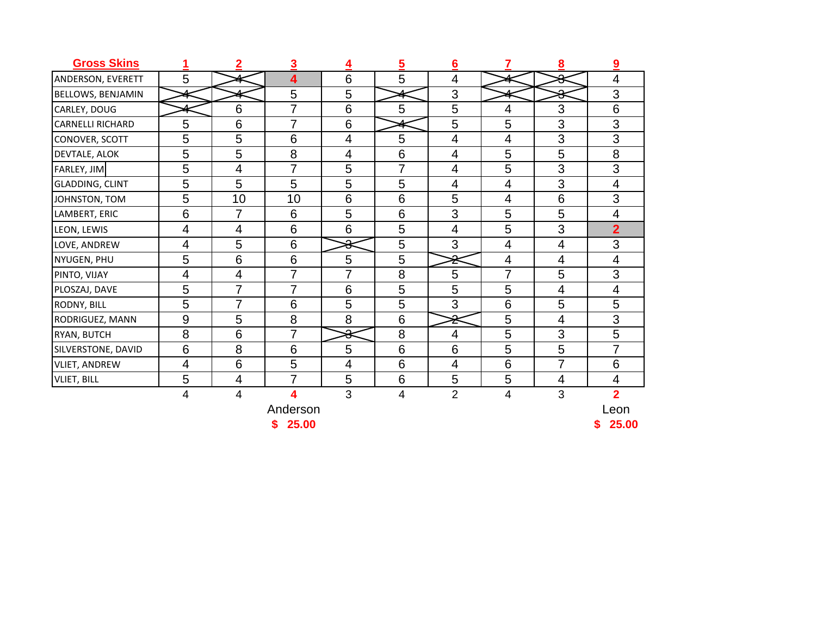| <b>Gross Skins</b>       | 1                | $\overline{2}$          | 3                       | 4              | $\overline{5}$ | 6                        |                | $\underline{8}$ | 9              |
|--------------------------|------------------|-------------------------|-------------------------|----------------|----------------|--------------------------|----------------|-----------------|----------------|
| ANDERSON, EVERETT        | 5                |                         | $\overline{\mathbf{4}}$ | 6              | 5              | 4                        |                | Δ<br>₩          | 4              |
| <b>BELLOWS, BENJAMIN</b> |                  |                         | 5                       | 5              |                | 3                        |                | $\Omega$<br>σ   | 3              |
| CARLEY, DOUG             |                  | 6                       | $\overline{7}$          | 6              | 5              | 5                        | 4              | 3               | 6              |
| <b>CARNELLI RICHARD</b>  | 5                | 6                       | 7                       | 6              |                | 5                        | 5              | 3               | 3              |
| CONOVER, SCOTT           | 5                | 5                       | 6                       | 4              | 5              | $\overline{\mathcal{A}}$ | 4              | 3               | 3              |
| DEVTALE, ALOK            | 5                | 5                       | 8                       | 4              | 6              | 4                        | 5              | 5               | 8              |
| FARLEY, JIM              | 5                | $\overline{\mathbf{4}}$ | $\overline{7}$          | 5              | 7              | $\overline{\mathcal{A}}$ | 5              | 3               | 3              |
| <b>GLADDING, CLINT</b>   | 5                | 5                       | 5                       | 5              | 5              | 4                        | 4              | 3               | 4              |
| JOHNSTON, TOM            | 5                | 10                      | 10                      | 6              | 6              | 5                        | 4              | 6               | 3              |
| LAMBERT, ERIC            | 6                | $\overline{7}$          | 6                       | 5              | 6              | 3                        | 5              | 5               | 4              |
| LEON, LEWIS              | 4                | $\overline{4}$          | 6                       | 6              | 5              | $\overline{\mathcal{A}}$ | 5              | 3               | $\overline{2}$ |
| LOVE, ANDREW             | 4                | 5                       | 6                       | ୫              | 5              | 3                        | $\overline{4}$ | 4               | 3              |
| NYUGEN, PHU              | 5                | 6                       | 6                       | 5              | 5              | ₹                        | 4              | $\overline{4}$  | 4              |
| PINTO, VIJAY             | 4                | $\overline{4}$          | 7                       | 7              | 8              | 5                        | $\overline{7}$ | 5               | 3              |
| PLOSZAJ, DAVE            | 5                | $\overline{7}$          | 7                       | 6              | 5              | 5                        | 5              | $\overline{4}$  | 4              |
| RODNY, BILL              | 5                | $\overline{7}$          | 6                       | 5              | 5              | 3                        | 6              | 5               | 5              |
| RODRIGUEZ, MANN          | $\boldsymbol{9}$ | 5                       | 8                       | 8              | 6              | ₹                        | 5              | $\overline{4}$  | 3              |
| RYAN, BUTCH              | 8                | 6                       | $\overline{7}$          | ⋇              | 8              | 4                        | 5              | 3               | 5              |
| SILVERSTONE, DAVID       | 6                | 8                       | 6                       | 5              | 6              | 6                        | 5              | 5               | 7              |
| <b>VLIET, ANDREW</b>     | 4                | $6\phantom{1}6$         | 5                       | $\overline{4}$ | 6              | $\overline{4}$           | 6              | 7               | 6              |
| <b>VLIET, BILL</b>       | 5                | $\overline{4}$          | $\overline{7}$          | 5              | 6              | 5                        | 5              | 4               | 4              |
|                          | 4                | $\overline{4}$          | 4                       | 3              | $\overline{4}$ | $\overline{2}$           | 4              | 3               | $\overline{2}$ |
|                          |                  |                         | Anderson                |                |                |                          |                |                 | Leon           |
|                          |                  |                         | 25.00<br>\$             |                |                |                          |                |                 | \$<br>25.00    |